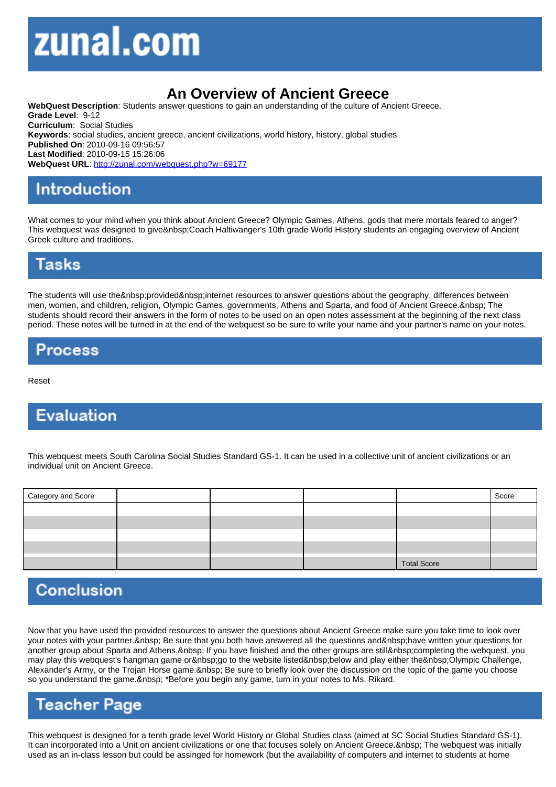# An Overview of Ancient Greece

WebQuest Description: Students answer questions to gain an understanding of the culture of Ancient Greece. Grade Level: 9-12 Curriculum: Social Studies Keywords: social studies, ancient greece, ancient civilizations, world history, history, global studies Published On: 2010-09-16 09:56:57 Last Modified: 2010-09-15 15:26:06 WebQuest URL: http://zunal.com/webquest.php?w=69177

What comes to your mind when you think about Ancient Greece? Olympic Games, Athens, gods that mere mortals feared to anger? This webquest was designed to give Coach Haltiwanger's 10th grade World History students an engaging overview of Ancient Greek culture and traditions.

The students will use the &nbsp:provided &nbsp:internet resources to answer questions about the geography, differences between men, women, and children, religion, Olympic Games, governments, Athens and Sparta, and food of Ancient Greece. The students should record their answers in the form of notes to be used on an open notes assessment at the beginning of the next class period. These notes will be turned in at the end of the webquest so be sure to write your name and your partner's name on your notes.

Reset

This webquest meets South Carolina Social Studies Standard GS-1. It can be used in a collective unit of ancient civilizations or an individual unit on Ancient Greece.

| Category and Score |  |                    | Score |
|--------------------|--|--------------------|-------|
|                    |  |                    |       |
|                    |  |                    |       |
|                    |  |                    |       |
|                    |  |                    |       |
|                    |  | <b>Total Score</b> |       |

Now that you have used the provided resources to answer the questions about Ancient Greece make sure you take time to look over your notes with your partner. Be sure that you both have answered all the questions and have written your questions for another group about Sparta and Athens. If you have finished and the other groups are still completing the webquest, you may play this webquest's hangman game or go to the website listed below and play either the Olympic Challenge, Alexander's Army, or the Trojan Horse game. Be sure to briefly look over the discussion on the topic of the game you choose so you understand the game. \*Before you begin any game, turn in your notes to Ms. Rikard.

This webquest is designed for a tenth grade level World History or Global Studies class (aimed at SC Social Studies Standard GS-1). It can incorporated into a Unit on ancient civilizations or one that focuses solely on Ancient Greece.&nbsp: The webquest was initially used as an in-class lesson but could be assinged for homework (but the availability of computers and internet to students at home